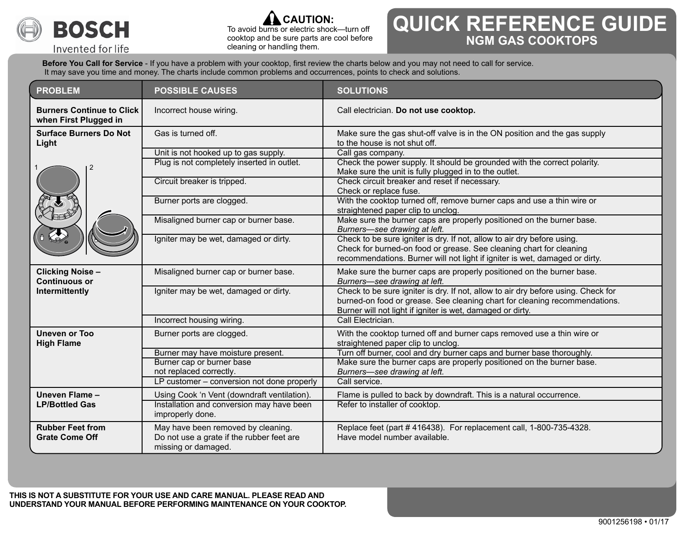

Invented for life



 To avoid burns or electric shock—turn off cooktop and be sure parts are cool before cleaning or handling them.

## **QUICK REFERENCE GUIDE NGM GAS COOKTOPS**

**Before You Call for Service** - If you have a problem with your cooktop, first review the charts below and you may not need to call for service. It may save you time and money. The charts include common problems and occurrences, points to check and solutions.

| <b>PROBLEM</b>                                                    | <b>POSSIBLE CAUSES</b>                                                                                 | <b>SOLUTIONS</b>                                                                                                                                                                                                              |
|-------------------------------------------------------------------|--------------------------------------------------------------------------------------------------------|-------------------------------------------------------------------------------------------------------------------------------------------------------------------------------------------------------------------------------|
| <b>Burners Continue to Click</b><br>when First Plugged in         | Incorrect house wiring.<br>Call electrician. Do not use cooktop.                                       |                                                                                                                                                                                                                               |
| <b>Surface Burners Do Not</b><br>Light                            | Gas is turned off.                                                                                     | Make sure the gas shut-off valve is in the ON position and the gas supply<br>to the house is not shut off.                                                                                                                    |
|                                                                   | Unit is not hooked up to gas supply.<br>Plug is not completely inserted in outlet.                     | Call gas company.<br>Check the power supply. It should be grounded with the correct polarity.<br>Make sure the unit is fully plugged in to the outlet.                                                                        |
|                                                                   | Circuit breaker is tripped.<br>Burner ports are clogged.                                               | Check circuit breaker and reset if necessary.<br>Check or replace fuse.<br>With the cooktop turned off, remove burner caps and use a thin wire or                                                                             |
|                                                                   | Misaligned burner cap or burner base.                                                                  | straightened paper clip to unclog.<br>Make sure the burner caps are properly positioned on the burner base.                                                                                                                   |
|                                                                   | Igniter may be wet, damaged or dirty.                                                                  | Burners-see drawing at left.<br>Check to be sure igniter is dry. If not, allow to air dry before using.                                                                                                                       |
|                                                                   |                                                                                                        | Check for burned-on food or grease. See cleaning chart for cleaning<br>recommendations. Burner will not light if igniter is wet, damaged or dirty.                                                                            |
| <b>Clicking Noise -</b><br><b>Continuous or</b><br>Intermittently | Misaligned burner cap or burner base.                                                                  | Make sure the burner caps are properly positioned on the burner base.<br>Burners-see drawing at left.                                                                                                                         |
|                                                                   | Igniter may be wet, damaged or dirty.                                                                  | Check to be sure igniter is dry. If not, allow to air dry before using. Check for<br>burned-on food or grease. See cleaning chart for cleaning recommendations.<br>Burner will not light if igniter is wet, damaged or dirty. |
|                                                                   | Incorrect housing wiring.                                                                              | Call Electrician.                                                                                                                                                                                                             |
| <b>Uneven or Too</b><br><b>High Flame</b>                         | Burner ports are clogged.                                                                              | With the cooktop turned off and burner caps removed use a thin wire or<br>straightened paper clip to unclog.                                                                                                                  |
|                                                                   | Burner may have moisture present.                                                                      | Turn off burner, cool and dry burner caps and burner base thoroughly.                                                                                                                                                         |
|                                                                   | Burner cap or burner base<br>not replaced correctly.                                                   | Make sure the burner caps are properly positioned on the burner base.<br>Burners-see drawing at left.                                                                                                                         |
|                                                                   | LP customer - conversion not done properly                                                             | Call service.                                                                                                                                                                                                                 |
| Uneven Flame -<br><b>LP/Bottled Gas</b>                           | Using Cook 'n Vent (downdraft ventilation).                                                            | Flame is pulled to back by downdraft. This is a natural occurrence.                                                                                                                                                           |
|                                                                   | Installation and conversion may have been<br>improperly done.                                          | Refer to installer of cooktop.                                                                                                                                                                                                |
| <b>Rubber Feet from</b><br><b>Grate Come Off</b>                  | May have been removed by cleaning.<br>Do not use a grate if the rubber feet are<br>missing or damaged. | Replace feet (part #416438). For replacement call, 1-800-735-4328.<br>Have model number available.                                                                                                                            |